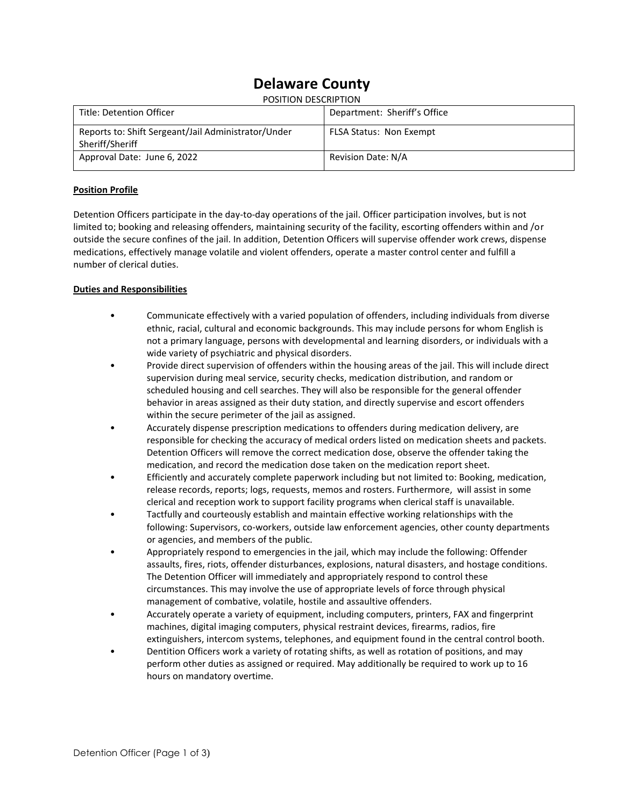# **Delaware County**

| POSITION DESCRIPTION                                                   |                                |
|------------------------------------------------------------------------|--------------------------------|
| Title: Detention Officer                                               | Department: Sheriff's Office   |
| Reports to: Shift Sergeant/Jail Administrator/Under<br>Sheriff/Sheriff | <b>FLSA Status: Non Exempt</b> |
| Approval Date: June 6, 2022                                            | Revision Date: N/A             |

## **Position Profile**

Detention Officers participate in the day-to-day operations of the jail. Officer participation involves, but is not limited to; booking and releasing offenders, maintaining security of the facility, escorting offenders within and /or outside the secure confines of the jail. In addition, Detention Officers will supervise offender work crews, dispense medications, effectively manage volatile and violent offenders, operate a master control center and fulfill a number of clerical duties.

#### **Duties and Responsibilities**

- Communicate effectively with a varied population of offenders, including individuals from diverse ethnic, racial, cultural and economic backgrounds. This may include persons for whom English is not a primary language, persons with developmental and learning disorders, or individuals with a wide variety of psychiatric and physical disorders.
- Provide direct supervision of offenders within the housing areas of the jail. This will include direct supervision during meal service, security checks, medication distribution, and random or scheduled housing and cell searches. They will also be responsible for the general offender behavior in areas assigned as their duty station, and directly supervise and escort offenders within the secure perimeter of the jail as assigned.
- Accurately dispense prescription medications to offenders during medication delivery, are responsible for checking the accuracy of medical orders listed on medication sheets and packets. Detention Officers will remove the correct medication dose, observe the offender taking the medication, and record the medication dose taken on the medication report sheet.
- Efficiently and accurately complete paperwork including but not limited to: Booking, medication, release records, reports; logs, requests, memos and rosters. Furthermore, will assist in some clerical and reception work to support facility programs when clerical staff is unavailable.
- Tactfully and courteously establish and maintain effective working relationships with the following: Supervisors, co-workers, outside law enforcement agencies, other county departments or agencies, and members of the public.
- Appropriately respond to emergencies in the jail, which may include the following: Offender assaults, fires, riots, offender disturbances, explosions, natural disasters, and hostage conditions. The Detention Officer will immediately and appropriately respond to control these circumstances. This may involve the use of appropriate levels of force through physical management of combative, volatile, hostile and assaultive offenders.
- Accurately operate a variety of equipment, including computers, printers, FAX and fingerprint machines, digital imaging computers, physical restraint devices, firearms, radios, fire extinguishers, intercom systems, telephones, and equipment found in the central control booth.
- Dentition Officers work a variety of rotating shifts, as well as rotation of positions, and may perform other duties as assigned or required. May additionally be required to work up to 16 hours on mandatory overtime.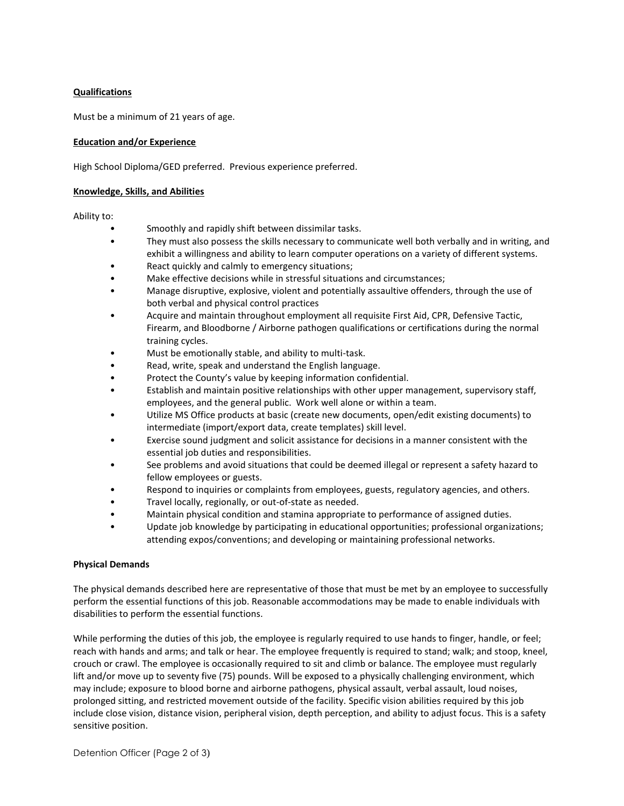## **Qualifications**

Must be a minimum of 21 years of age.

## **Education and/or Experience**

High School Diploma/GED preferred. Previous experience preferred.

## **Knowledge, Skills, and Abilities**

Ability to:

- Smoothly and rapidly shift between dissimilar tasks.
- They must also possess the skills necessary to communicate well both verbally and in writing, and exhibit a willingness and ability to learn computer operations on a variety of different systems.
- React quickly and calmly to emergency situations;
- Make effective decisions while in stressful situations and circumstances;
- Manage disruptive, explosive, violent and potentially assaultive offenders, through the use of both verbal and physical control practices
- Acquire and maintain throughout employment all requisite First Aid, CPR, Defensive Tactic, Firearm, and Bloodborne / Airborne pathogen qualifications or certifications during the normal training cycles.
- Must be emotionally stable, and ability to multi-task.
- Read, write, speak and understand the English language.
- Protect the County's value by keeping information confidential.
- Establish and maintain positive relationships with other upper management, supervisory staff, employees, and the general public. Work well alone or within a team.
- Utilize MS Office products at basic (create new documents, open/edit existing documents) to intermediate (import/export data, create templates) skill level.
- Exercise sound judgment and solicit assistance for decisions in a manner consistent with the essential job duties and responsibilities.
- See problems and avoid situations that could be deemed illegal or represent a safety hazard to fellow employees or guests.
- Respond to inquiries or complaints from employees, guests, regulatory agencies, and others.
- Travel locally, regionally, or out-of-state as needed.
- Maintain physical condition and stamina appropriate to performance of assigned duties.
- Update job knowledge by participating in educational opportunities; professional organizations; attending expos/conventions; and developing or maintaining professional networks.

#### **Physical Demands**

The physical demands described here are representative of those that must be met by an employee to successfully perform the essential functions of this job. Reasonable accommodations may be made to enable individuals with disabilities to perform the essential functions.

While performing the duties of this job, the employee is regularly required to use hands to finger, handle, or feel; reach with hands and arms; and talk or hear. The employee frequently is required to stand; walk; and stoop, kneel, crouch or crawl. The employee is occasionally required to sit and climb or balance. The employee must regularly lift and/or move up to seventy five (75) pounds. Will be exposed to a physically challenging environment, which may include; exposure to blood borne and airborne pathogens, physical assault, verbal assault, loud noises, prolonged sitting, and restricted movement outside of the facility. Specific vision abilities required by this job include close vision, distance vision, peripheral vision, depth perception, and ability to adjust focus. This is a safety sensitive position.